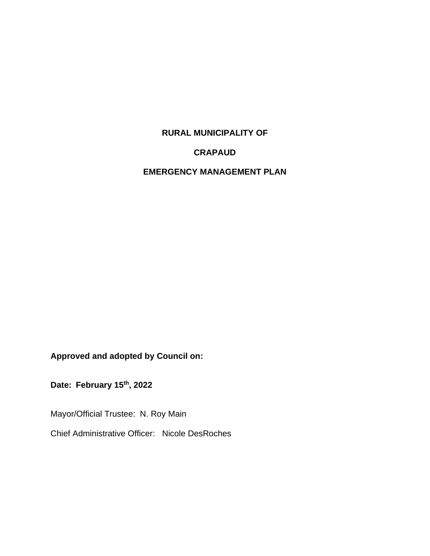### **RURAL MUNICIPALITY OF**

#### **CRAPAUD**

## **EMERGENCY MANAGEMENT PLAN**

**Approved and adopted by Council on:**

**Date: February 15th, 2022** 

Mayor/Official Trustee: N. Roy Main

Chief Administrative Officer: Nicole DesRoches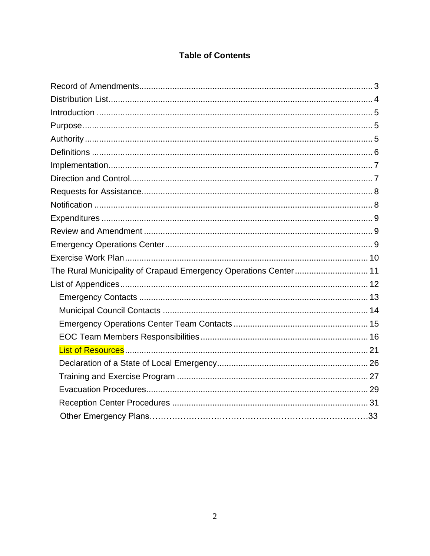## **Table of Contents**

| The Rural Municipality of Crapaud Emergency Operations Center 11 |  |
|------------------------------------------------------------------|--|
|                                                                  |  |
|                                                                  |  |
|                                                                  |  |
|                                                                  |  |
|                                                                  |  |
|                                                                  |  |
|                                                                  |  |
|                                                                  |  |
|                                                                  |  |
|                                                                  |  |
|                                                                  |  |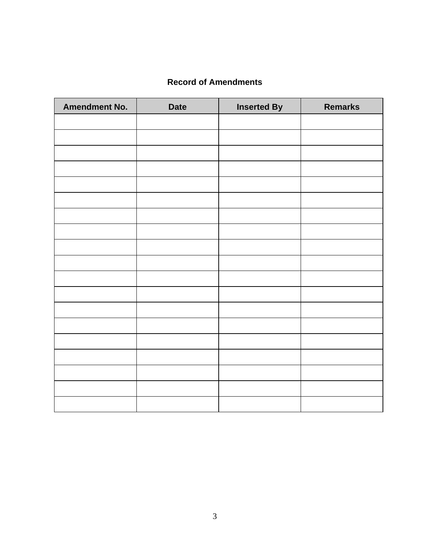## **Record of Amendments**

<span id="page-2-0"></span>

| <b>Amendment No.</b> | <b>Date</b> | <b>Inserted By</b> | <b>Remarks</b> |
|----------------------|-------------|--------------------|----------------|
|                      |             |                    |                |
|                      |             |                    |                |
|                      |             |                    |                |
|                      |             |                    |                |
|                      |             |                    |                |
|                      |             |                    |                |
|                      |             |                    |                |
|                      |             |                    |                |
|                      |             |                    |                |
|                      |             |                    |                |
|                      |             |                    |                |
|                      |             |                    |                |
|                      |             |                    |                |
|                      |             |                    |                |
|                      |             |                    |                |
|                      |             |                    |                |
|                      |             |                    |                |
|                      |             |                    |                |
|                      |             |                    |                |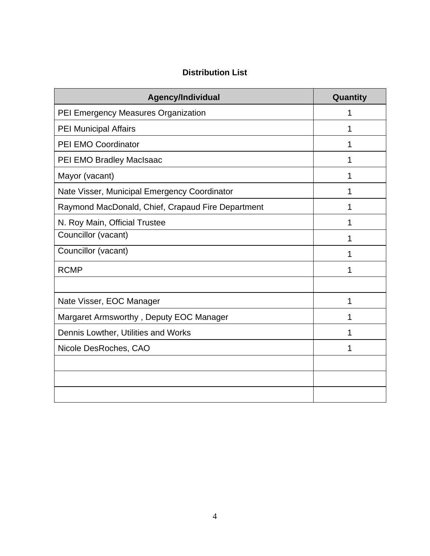## **Distribution List**

<span id="page-3-0"></span>

| Agency/Individual                                 | Quantity |
|---------------------------------------------------|----------|
| PEI Emergency Measures Organization               | 1        |
| <b>PEI Municipal Affairs</b>                      | 1        |
| PEI EMO Coordinator                               | 1        |
| PEI EMO Bradley MacIsaac                          | 1        |
| Mayor (vacant)                                    | 1        |
| Nate Visser, Municipal Emergency Coordinator      | 1        |
| Raymond MacDonald, Chief, Crapaud Fire Department | 1        |
| N. Roy Main, Official Trustee                     | 1        |
| Councillor (vacant)                               |          |
| Councillor (vacant)                               | 1        |
| <b>RCMP</b>                                       |          |
|                                                   |          |
| Nate Visser, EOC Manager                          | 1        |
| Margaret Armsworthy, Deputy EOC Manager           | 1        |
| Dennis Lowther, Utilities and Works               | 1        |
| Nicole DesRoches, CAO                             | 1        |
|                                                   |          |
|                                                   |          |
|                                                   |          |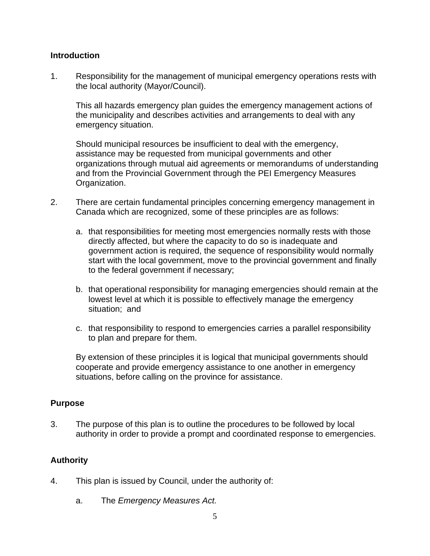#### <span id="page-4-0"></span>**Introduction**

1. Responsibility for the management of municipal emergency operations rests with the local authority (Mayor/Council).

This all hazards emergency plan guides the emergency management actions of the municipality and describes activities and arrangements to deal with any emergency situation.

Should municipal resources be insufficient to deal with the emergency, assistance may be requested from municipal governments and other organizations through mutual aid agreements or memorandums of understanding and from the Provincial Government through the PEI Emergency Measures Organization.

- 2. There are certain fundamental principles concerning emergency management in Canada which are recognized, some of these principles are as follows:
	- a. that responsibilities for meeting most emergencies normally rests with those directly affected, but where the capacity to do so is inadequate and government action is required, the sequence of responsibility would normally start with the local government, move to the provincial government and finally to the federal government if necessary;
	- b. that operational responsibility for managing emergencies should remain at the lowest level at which it is possible to effectively manage the emergency situation; and
	- c. that responsibility to respond to emergencies carries a parallel responsibility to plan and prepare for them.

By extension of these principles it is logical that municipal governments should cooperate and provide emergency assistance to one another in emergency situations, before calling on the province for assistance.

### <span id="page-4-1"></span>**Purpose**

3. The purpose of this plan is to outline the procedures to be followed by local authority in order to provide a prompt and coordinated response to emergencies.

### <span id="page-4-2"></span>**Authority**

- 4. This plan is issued by Council, under the authority of:
	- a. The *Emergency Measures Act.*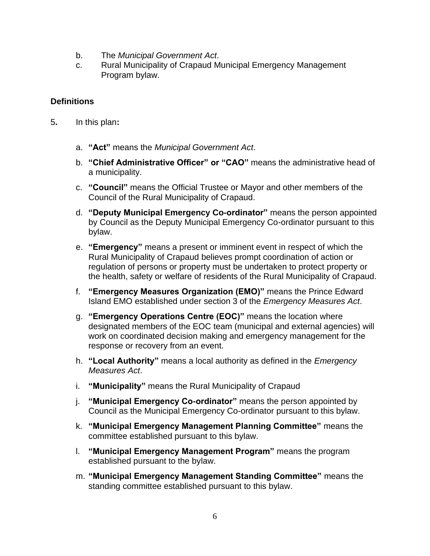- b. The *Municipal Government Act*.
- c. Rural Municipality of Crapaud Municipal Emergency Management Program bylaw.

## <span id="page-5-0"></span>**Definitions**

- 5**.** In this plan**:**
	- a. **"Act"** means the *Municipal Government Act*.
	- b. **"Chief Administrative Officer" or "CAO"** means the administrative head of a municipality.
	- c. **"Council"** means the Official Trustee or Mayor and other members of the Council of the Rural Municipality of Crapaud.
	- d. **"Deputy Municipal Emergency Co-ordinator"** means the person appointed by Council as the Deputy Municipal Emergency Co-ordinator pursuant to this bylaw.
	- e. **"Emergency"** means a present or imminent event in respect of which the Rural Municipality of Crapaud believes prompt coordination of action or regulation of persons or property must be undertaken to protect property or the health, safety or welfare of residents of the Rural Municipality of Crapaud.
	- f. **"Emergency Measures Organization (EMO)"** means the Prince Edward Island EMO established under section 3 of the *Emergency Measures Act*.
	- g. **"Emergency Operations Centre (EOC)"** means the location where designated members of the EOC team (municipal and external agencies) will work on coordinated decision making and emergency management for the response or recovery from an event.
	- h. **"Local Authority"** means a local authority as defined in the *Emergency Measures Act*.
	- i. **"Municipality"** means the Rural Municipality of Crapaud
	- j. **"Municipal Emergency Co-ordinator"** means the person appointed by Council as the Municipal Emergency Co-ordinator pursuant to this bylaw.
	- k. **"Municipal Emergency Management Planning Committee"** means the committee established pursuant to this bylaw.
	- l. **"Municipal Emergency Management Program"** means the program established pursuant to the bylaw.
	- m. **"Municipal Emergency Management Standing Committee"** means the standing committee established pursuant to this bylaw.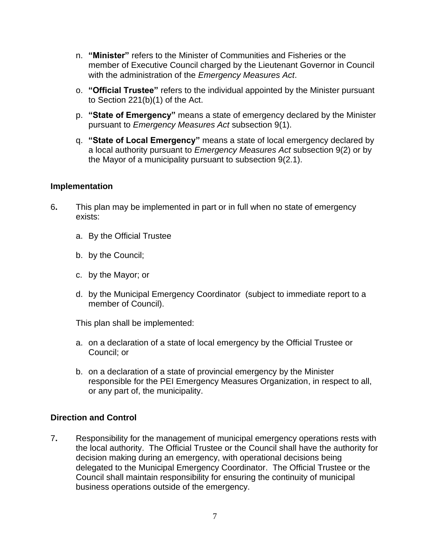- n. **"Minister"** refers to the Minister of Communities and Fisheries or the member of Executive Council charged by the Lieutenant Governor in Council with the administration of the *Emergency Measures Act*.
- o. **"Official Trustee"** refers to the individual appointed by the Minister pursuant to Section 221(b)(1) of the Act.
- p. **"State of Emergency"** means a state of emergency declared by the Minister pursuant to *Emergency Measures Act* subsection 9(1).
- q. **"State of Local Emergency"** means a state of local emergency declared by a local authority pursuant to *Emergency Measures Act* subsection 9(2) or by the Mayor of a municipality pursuant to subsection 9(2.1).

### <span id="page-6-0"></span>**Implementation**

- 6**.** This plan may be implemented in part or in full when no state of emergency exists:
	- a. By the Official Trustee
	- b. by the Council;
	- c. by the Mayor; or
	- d. by the Municipal Emergency Coordinator (subject to immediate report to a member of Council).

This plan shall be implemented:

- a. on a declaration of a state of local emergency by the Official Trustee or Council; or
- b. on a declaration of a state of provincial emergency by the Minister responsible for the PEI Emergency Measures Organization, in respect to all, or any part of, the municipality.

### <span id="page-6-1"></span>**Direction and Control**

7**.** Responsibility for the management of municipal emergency operations rests with the local authority. The Official Trustee or the Council shall have the authority for decision making during an emergency, with operational decisions being delegated to the Municipal Emergency Coordinator. The Official Trustee or the Council shall maintain responsibility for ensuring the continuity of municipal business operations outside of the emergency.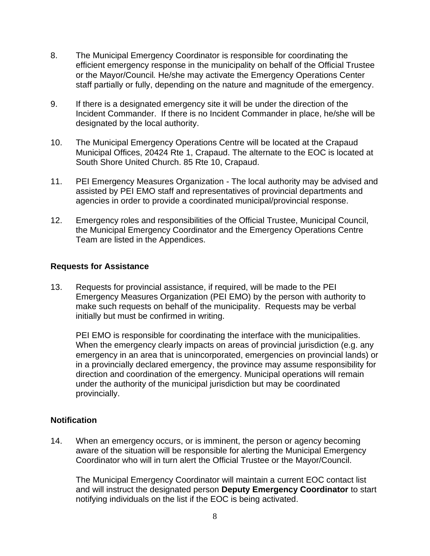- 8. The Municipal Emergency Coordinator is responsible for coordinating the efficient emergency response in the municipality on behalf of the Official Trustee or the Mayor/Council*.* He/she may activate the Emergency Operations Center staff partially or fully, depending on the nature and magnitude of the emergency.
- 9. If there is a designated emergency site it will be under the direction of the Incident Commander. If there is no Incident Commander in place, he/she will be designated by the local authority.
- 10. The Municipal Emergency Operations Centre will be located at the Crapaud Municipal Offices, 20424 Rte 1, Crapaud. The alternate to the EOC is located at South Shore United Church. 85 Rte 10, Crapaud.
- 11. PEI Emergency Measures Organization The local authority may be advised and assisted by PEI EMO staff and representatives of provincial departments and agencies in order to provide a coordinated municipal/provincial response.
- 12. Emergency roles and responsibilities of the Official Trustee, Municipal Council, the Municipal Emergency Coordinator and the Emergency Operations Centre Team are listed in the Appendices.

### <span id="page-7-0"></span>**Requests for Assistance**

13. Requests for provincial assistance, if required, will be made to the PEI Emergency Measures Organization (PEI EMO) by the person with authority to make such requests on behalf of the municipality. Requests may be verbal initially but must be confirmed in writing.

PEI EMO is responsible for coordinating the interface with the municipalities. When the emergency clearly impacts on areas of provincial jurisdiction (e.g. any emergency in an area that is unincorporated, emergencies on provincial lands) or in a provincially declared emergency, the province may assume responsibility for direction and coordination of the emergency. Municipal operations will remain under the authority of the municipal jurisdiction but may be coordinated provincially.

### <span id="page-7-1"></span>**Notification**

14. When an emergency occurs, or is imminent, the person or agency becoming aware of the situation will be responsible for alerting the Municipal Emergency Coordinator who will in turn alert the Official Trustee or the Mayor/Council.

The Municipal Emergency Coordinator will maintain a current EOC contact list and will instruct the designated person **Deputy Emergency Coordinator** to start notifying individuals on the list if the EOC is being activated.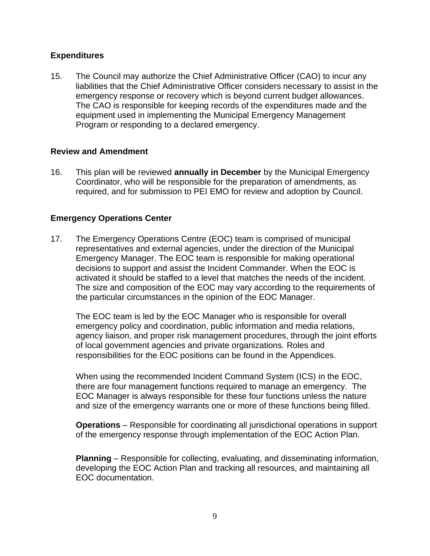### <span id="page-8-0"></span>**Expenditures**

15. The Council may authorize the Chief Administrative Officer (CAO) to incur any liabilities that the Chief Administrative Officer considers necessary to assist in the emergency response or recovery which is beyond current budget allowances. The CAO is responsible for keeping records of the expenditures made and the equipment used in implementing the Municipal Emergency Management Program or responding to a declared emergency.

### <span id="page-8-1"></span>**Review and Amendment**

16. This plan will be reviewed **annually in December** by the Municipal Emergency Coordinator, who will be responsible for the preparation of amendments, as required, and for submission to PEI EMO for review and adoption by Council.

### <span id="page-8-2"></span>**Emergency Operations Center**

17. The Emergency Operations Centre (EOC) team is comprised of municipal representatives and external agencies, under the direction of the Municipal Emergency Manager. The EOC team is responsible for making operational decisions to support and assist the Incident Commander. When the EOC is activated it should be staffed to a level that matches the needs of the incident. The size and composition of the EOC may vary according to the requirements of the particular circumstances in the opinion of the EOC Manager.

The EOC team is led by the EOC Manager who is responsible for overall emergency policy and coordination, public information and media relations, agency liaison, and proper risk management procedures, through the joint efforts of local government agencies and private organizations. Roles and responsibilities for the EOC positions can be found in the Appendices.

When using the recommended Incident Command System (ICS) in the EOC, there are four management functions required to manage an emergency. The EOC Manager is always responsible for these four functions unless the nature and size of the emergency warrants one or more of these functions being filled.

**Operations** – Responsible for coordinating all jurisdictional operations in support of the emergency response through implementation of the EOC Action Plan.

**Planning** – Responsible for collecting, evaluating, and disseminating information, developing the EOC Action Plan and tracking all resources, and maintaining all EOC documentation.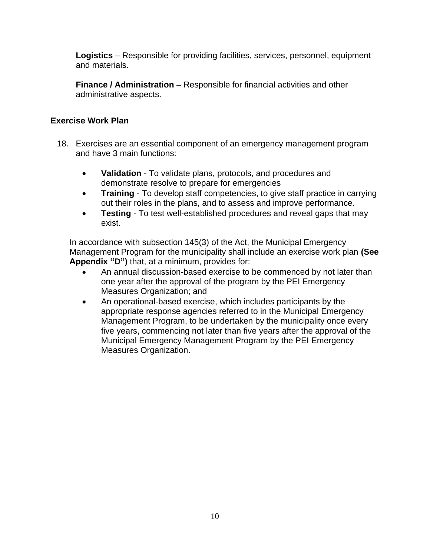**Logistics** – Responsible for providing facilities, services, personnel, equipment and materials.

**Finance / Administration** – Responsible for financial activities and other administrative aspects.

### <span id="page-9-0"></span>**Exercise Work Plan**

- 18. Exercises are an essential component of an emergency management program and have 3 main functions:
	- **Validation** To validate plans, protocols, and procedures and demonstrate resolve to prepare for emergencies
	- **Training** To develop staff competencies, to give staff practice in carrying out their roles in the plans, and to assess and improve performance.
	- **Testing** To test well-established procedures and reveal gaps that may exist.

In accordance with subsection 145(3) of the Act, the Municipal Emergency Management Program for the municipality shall include an exercise work plan **(See Appendix "D")** that, at a minimum, provides for:

- An annual discussion-based exercise to be commenced by not later than one year after the approval of the program by the PEI Emergency Measures Organization; and
- An operational-based exercise, which includes participants by the appropriate response agencies referred to in the Municipal Emergency Management Program, to be undertaken by the municipality once every five years, commencing not later than five years after the approval of the Municipal Emergency Management Program by the PEI Emergency Measures Organization.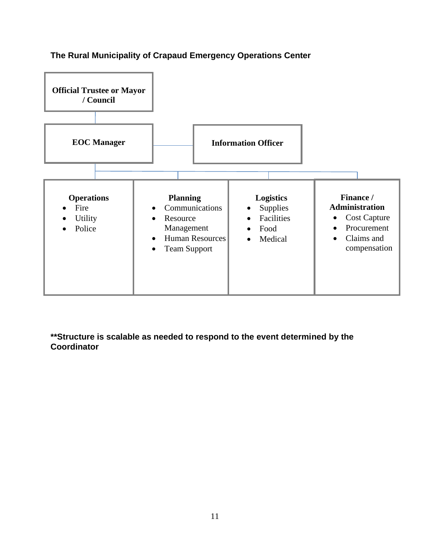

## <span id="page-10-0"></span>**The Rural Municipality of Crapaud Emergency Operations Center**

**\*\*Structure is scalable as needed to respond to the event determined by the Coordinator**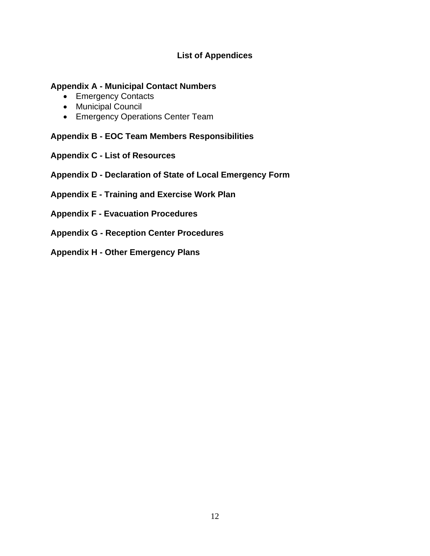## **List of Appendices**

### <span id="page-11-0"></span>**Appendix A - Municipal Contact Numbers**

- Emergency Contacts
- Municipal Council
- Emergency Operations Center Team

**Appendix B - EOC Team Members Responsibilities**

- **Appendix C - List of Resources**
- **Appendix D - Declaration of State of Local Emergency Form**
- **Appendix E - Training and Exercise Work Plan**
- **Appendix F - Evacuation Procedures**
- **Appendix G - Reception Center Procedures**
- **Appendix H - Other Emergency Plans**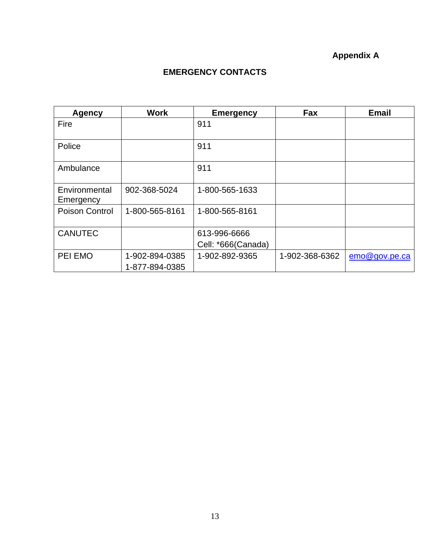# **Appendix A**

## **EMERGENCY CONTACTS**

<span id="page-12-0"></span>

| <b>Agency</b>              | <b>Work</b>                      | <b>Emergency</b>                   | Fax            | <b>Email</b>  |
|----------------------------|----------------------------------|------------------------------------|----------------|---------------|
| Fire                       |                                  | 911                                |                |               |
| Police                     |                                  | 911                                |                |               |
| Ambulance                  |                                  | 911                                |                |               |
| Environmental<br>Emergency | 902-368-5024                     | 1-800-565-1633                     |                |               |
| <b>Poison Control</b>      | 1-800-565-8161                   | 1-800-565-8161                     |                |               |
| <b>CANUTEC</b>             |                                  | 613-996-6666<br>Cell: *666(Canada) |                |               |
| PEI EMO                    | 1-902-894-0385<br>1-877-894-0385 | 1-902-892-9365                     | 1-902-368-6362 | emo@gov.pe.ca |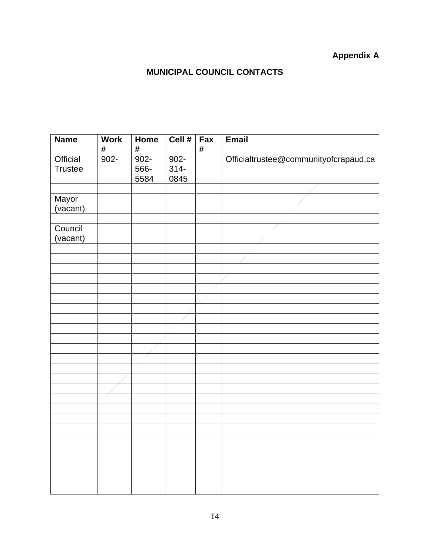# **Appendix A**

# **MUNICIPAL COUNCIL CONTACTS**

<span id="page-13-0"></span>

| <b>Name</b>                | <b>Work</b><br># | Home<br>$\#$            | Cell #                     | Fax<br>$\#$ | <b>Email</b>                          |
|----------------------------|------------------|-------------------------|----------------------------|-------------|---------------------------------------|
| Official<br><b>Trustee</b> | $902 -$          | $902 -$<br>566-<br>5584 | $902 -$<br>$314 -$<br>0845 |             | Officialtrustee@communityofcrapaud.ca |
|                            |                  |                         |                            |             |                                       |
| Mayor<br>(vacant)          |                  |                         |                            |             |                                       |
|                            |                  |                         |                            |             |                                       |
| Council<br>(vacant)        |                  |                         |                            |             |                                       |
|                            |                  |                         |                            |             |                                       |
|                            |                  |                         |                            |             |                                       |
|                            |                  |                         |                            |             |                                       |
|                            |                  |                         |                            |             |                                       |
|                            |                  |                         |                            |             |                                       |
|                            |                  |                         |                            |             |                                       |
|                            |                  |                         |                            |             |                                       |
|                            |                  |                         |                            |             |                                       |
|                            |                  |                         |                            |             |                                       |
|                            |                  |                         |                            |             |                                       |
|                            |                  |                         |                            |             |                                       |
|                            |                  |                         |                            |             |                                       |
|                            |                  |                         |                            |             |                                       |
|                            |                  |                         |                            |             |                                       |
|                            |                  |                         |                            |             |                                       |
|                            |                  |                         |                            |             |                                       |
|                            |                  |                         |                            |             |                                       |
|                            |                  |                         |                            |             |                                       |
|                            |                  |                         |                            |             |                                       |
|                            |                  |                         |                            |             |                                       |
|                            |                  |                         |                            |             |                                       |
|                            |                  |                         |                            |             |                                       |
|                            |                  |                         |                            |             |                                       |
|                            |                  |                         |                            |             |                                       |
|                            |                  |                         |                            |             |                                       |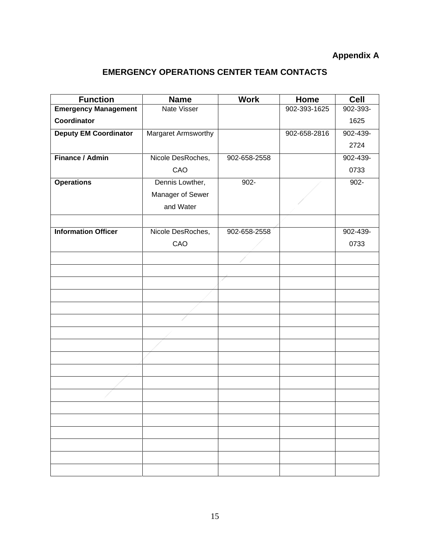## **Appendix A**

## **EMERGENCY OPERATIONS CENTER TEAM CONTACTS**

<span id="page-14-0"></span>

| <b>Function</b>              | <b>Name</b>         | <b>Work</b>  | Home         | <b>Cell</b> |
|------------------------------|---------------------|--------------|--------------|-------------|
| <b>Emergency Management</b>  | <b>Nate Visser</b>  |              | 902-393-1625 | 902-393-    |
| Coordinator                  |                     |              |              | 1625        |
| <b>Deputy EM Coordinator</b> | Margaret Armsworthy |              | 902-658-2816 | 902-439-    |
|                              |                     |              |              | 2724        |
| Finance / Admin              | Nicole DesRoches,   | 902-658-2558 |              | 902-439-    |
|                              | CAO                 |              |              | 0733        |
| <b>Operations</b>            | Dennis Lowther,     | $902 -$      |              | $902 -$     |
|                              | Manager of Sewer    |              |              |             |
|                              | and Water           |              |              |             |
|                              |                     |              |              |             |
| <b>Information Officer</b>   | Nicole DesRoches,   | 902-658-2558 |              | 902-439-    |
|                              | CAO                 |              |              | 0733        |
|                              |                     |              |              |             |
|                              |                     |              |              |             |
|                              |                     |              |              |             |
|                              |                     |              |              |             |
|                              |                     |              |              |             |
|                              |                     |              |              |             |
|                              |                     |              |              |             |
|                              |                     |              |              |             |
|                              |                     |              |              |             |
|                              |                     |              |              |             |
|                              |                     |              |              |             |
|                              |                     |              |              |             |
|                              |                     |              |              |             |
|                              |                     |              |              |             |
|                              |                     |              |              |             |
|                              |                     |              |              |             |
|                              |                     |              |              |             |
|                              |                     |              |              |             |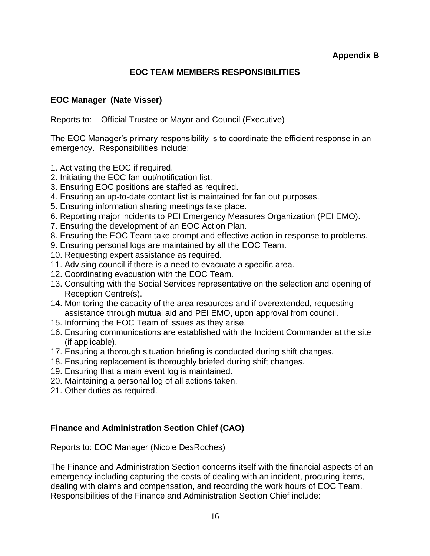## **EOC TEAM MEMBERS RESPONSIBILITIES**

## <span id="page-15-0"></span>**EOC Manager (Nate Visser)**

Reports to: Official Trustee or Mayor and Council (Executive)

The EOC Manager's primary responsibility is to coordinate the efficient response in an emergency. Responsibilities include:

- 1. Activating the EOC if required.
- 2. Initiating the EOC fan-out/notification list.
- 3. Ensuring EOC positions are staffed as required.
- 4. Ensuring an up-to-date contact list is maintained for fan out purposes.
- 5. Ensuring information sharing meetings take place.
- 6. Reporting major incidents to PEI Emergency Measures Organization (PEI EMO).
- 7. Ensuring the development of an EOC Action Plan.
- 8. Ensuring the EOC Team take prompt and effective action in response to problems.
- 9. Ensuring personal logs are maintained by all the EOC Team.
- 10. Requesting expert assistance as required.
- 11. Advising council if there is a need to evacuate a specific area.
- 12. Coordinating evacuation with the EOC Team.
- 13. Consulting with the Social Services representative on the selection and opening of Reception Centre(s).
- 14. Monitoring the capacity of the area resources and if overextended, requesting assistance through mutual aid and PEI EMO, upon approval from council.
- 15. Informing the EOC Team of issues as they arise.
- 16. Ensuring communications are established with the Incident Commander at the site (if applicable).
- 17. Ensuring a thorough situation briefing is conducted during shift changes.
- 18. Ensuring replacement is thoroughly briefed during shift changes.
- 19. Ensuring that a main event log is maintained.
- 20. Maintaining a personal log of all actions taken.
- 21. Other duties as required.

## **Finance and Administration Section Chief (CAO)**

Reports to: EOC Manager (Nicole DesRoches)

The Finance and Administration Section concerns itself with the financial aspects of an emergency including capturing the costs of dealing with an incident, procuring items, dealing with claims and compensation, and recording the work hours of EOC Team. Responsibilities of the Finance and Administration Section Chief include: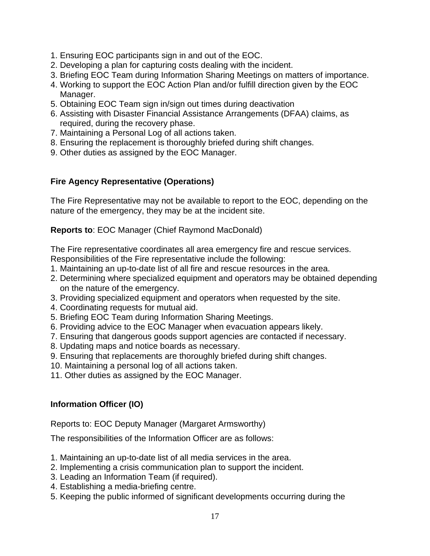- 1. Ensuring EOC participants sign in and out of the EOC.
- 2. Developing a plan for capturing costs dealing with the incident.
- 3. Briefing EOC Team during Information Sharing Meetings on matters of importance.
- 4. Working to support the EOC Action Plan and/or fulfill direction given by the EOC Manager.
- 5. Obtaining EOC Team sign in/sign out times during deactivation
- 6. Assisting with Disaster Financial Assistance Arrangements (DFAA) claims, as required, during the recovery phase.
- 7. Maintaining a Personal Log of all actions taken.
- 8. Ensuring the replacement is thoroughly briefed during shift changes.
- 9. Other duties as assigned by the EOC Manager.

## **Fire Agency Representative (Operations)**

The Fire Representative may not be available to report to the EOC, depending on the nature of the emergency, they may be at the incident site.

### **Reports to**: EOC Manager (Chief Raymond MacDonald)

The Fire representative coordinates all area emergency fire and rescue services. Responsibilities of the Fire representative include the following:

- 1. Maintaining an up-to-date list of all fire and rescue resources in the area.
- 2. Determining where specialized equipment and operators may be obtained depending on the nature of the emergency.
- 3. Providing specialized equipment and operators when requested by the site.
- 4. Coordinating requests for mutual aid.
- 5. Briefing EOC Team during Information Sharing Meetings.
- 6. Providing advice to the EOC Manager when evacuation appears likely.
- 7. Ensuring that dangerous goods support agencies are contacted if necessary.
- 8. Updating maps and notice boards as necessary.
- 9. Ensuring that replacements are thoroughly briefed during shift changes.
- 10. Maintaining a personal log of all actions taken.
- 11. Other duties as assigned by the EOC Manager.

## **Information Officer (IO)**

Reports to: EOC Deputy Manager (Margaret Armsworthy)

The responsibilities of the Information Officer are as follows:

- 1. Maintaining an up-to-date list of all media services in the area.
- 2. Implementing a crisis communication plan to support the incident.
- 3. Leading an Information Team (if required).
- 4. Establishing a media-briefing centre.
- 5. Keeping the public informed of significant developments occurring during the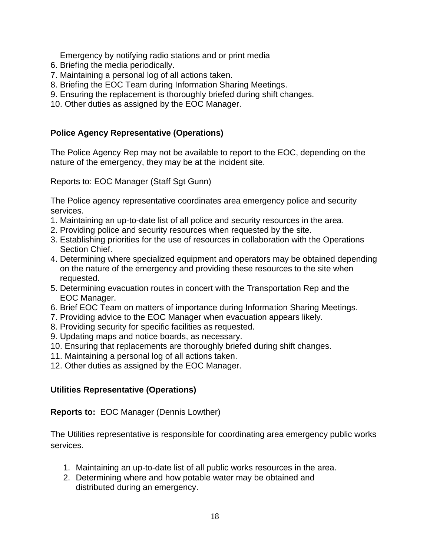Emergency by notifying radio stations and or print media

- 6. Briefing the media periodically.
- 7. Maintaining a personal log of all actions taken.
- 8. Briefing the EOC Team during Information Sharing Meetings.
- 9. Ensuring the replacement is thoroughly briefed during shift changes.
- 10. Other duties as assigned by the EOC Manager.

## **Police Agency Representative (Operations)**

The Police Agency Rep may not be available to report to the EOC, depending on the nature of the emergency, they may be at the incident site.

Reports to: EOC Manager (Staff Sgt Gunn)

The Police agency representative coordinates area emergency police and security services.

- 1. Maintaining an up-to-date list of all police and security resources in the area.
- 2. Providing police and security resources when requested by the site.
- 3. Establishing priorities for the use of resources in collaboration with the Operations Section Chief.
- 4. Determining where specialized equipment and operators may be obtained depending on the nature of the emergency and providing these resources to the site when requested.
- 5. Determining evacuation routes in concert with the Transportation Rep and the EOC Manager.
- 6. Brief EOC Team on matters of importance during Information Sharing Meetings.
- 7. Providing advice to the EOC Manager when evacuation appears likely.
- 8. Providing security for specific facilities as requested.
- 9. Updating maps and notice boards, as necessary.
- 10. Ensuring that replacements are thoroughly briefed during shift changes.
- 11. Maintaining a personal log of all actions taken.
- 12. Other duties as assigned by the EOC Manager.

## **Utilities Representative (Operations)**

### **Reports to:** EOC Manager (Dennis Lowther)

The Utilities representative is responsible for coordinating area emergency public works services.

- 1. Maintaining an up-to-date list of all public works resources in the area.
- 2. Determining where and how potable water may be obtained and distributed during an emergency.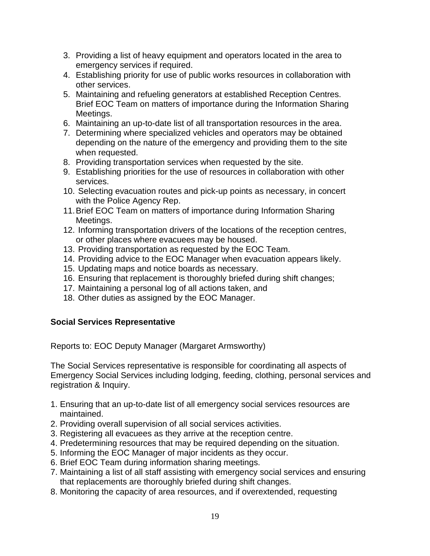- 3. Providing a list of heavy equipment and operators located in the area to emergency services if required.
- 4. Establishing priority for use of public works resources in collaboration with other services.
- 5. Maintaining and refueling generators at established Reception Centres. Brief EOC Team on matters of importance during the Information Sharing Meetings.
- 6. Maintaining an up-to-date list of all transportation resources in the area.
- 7. Determining where specialized vehicles and operators may be obtained depending on the nature of the emergency and providing them to the site when requested.
- 8. Providing transportation services when requested by the site.
- 9. Establishing priorities for the use of resources in collaboration with other services.
- 10. Selecting evacuation routes and pick-up points as necessary, in concert with the Police Agency Rep.
- 11.Brief EOC Team on matters of importance during Information Sharing Meetings.
- 12. Informing transportation drivers of the locations of the reception centres, or other places where evacuees may be housed.
- 13. Providing transportation as requested by the EOC Team.
- 14. Providing advice to the EOC Manager when evacuation appears likely.
- 15. Updating maps and notice boards as necessary.
- 16. Ensuring that replacement is thoroughly briefed during shift changes;
- 17. Maintaining a personal log of all actions taken, and
- 18. Other duties as assigned by the EOC Manager.

## **Social Services Representative**

Reports to: EOC Deputy Manager (Margaret Armsworthy)

The Social Services representative is responsible for coordinating all aspects of Emergency Social Services including lodging, feeding, clothing, personal services and registration & Inquiry.

- 1. Ensuring that an up-to-date list of all emergency social services resources are maintained.
- 2. Providing overall supervision of all social services activities.
- 3. Registering all evacuees as they arrive at the reception centre.
- 4. Predetermining resources that may be required depending on the situation.
- 5. Informing the EOC Manager of major incidents as they occur.
- 6. Brief EOC Team during information sharing meetings.
- 7. Maintaining a list of all staff assisting with emergency social services and ensuring that replacements are thoroughly briefed during shift changes.
- 8. Monitoring the capacity of area resources, and if overextended, requesting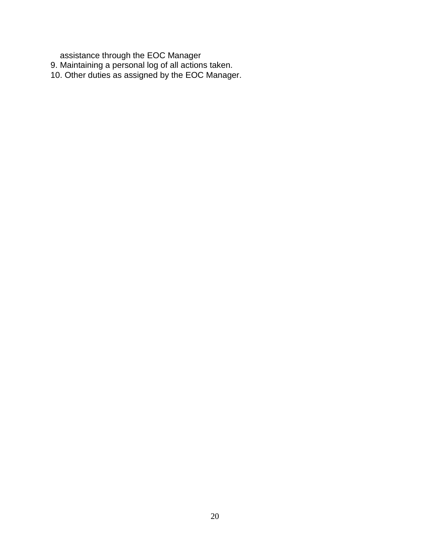assistance through the EOC Manager

- 9. Maintaining a personal log of all actions taken.
- 10. Other duties as assigned by the EOC Manager.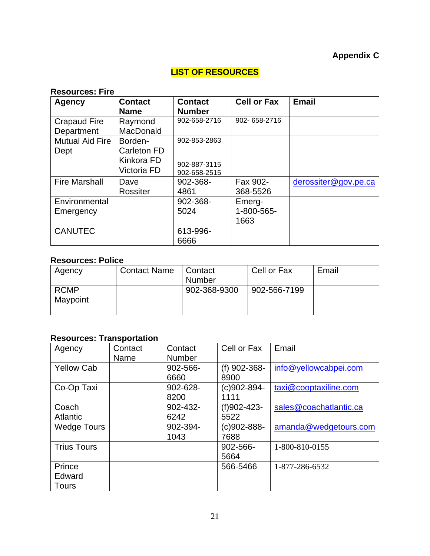## **Appendix C**

## **LIST OF RESOURCES**

## <span id="page-20-0"></span>**Resources: Fire**

| <b>Agency</b>          | <b>Contact</b>   | <b>Contact</b> | <b>Cell or Fax</b> | <b>Email</b>         |
|------------------------|------------------|----------------|--------------------|----------------------|
|                        | <b>Name</b>      | <b>Number</b>  |                    |                      |
| <b>Crapaud Fire</b>    | Raymond          | 902-658-2716   | 902-658-2716       |                      |
| Department             | <b>MacDonald</b> |                |                    |                      |
| <b>Mutual Aid Fire</b> | Borden-          | 902-853-2863   |                    |                      |
| Dept                   | Carleton FD      |                |                    |                      |
|                        | Kinkora FD       | 902-887-3115   |                    |                      |
|                        | Victoria FD      | 902-658-2515   |                    |                      |
| <b>Fire Marshall</b>   | Dave             | 902-368-       | Fax 902-           | derossiter@gov.pe.ca |
|                        | Rossiter         | 4861           | 368-5526           |                      |
| Environmental          |                  | 902-368-       | Emerg-             |                      |
| Emergency              |                  | 5024           | 1-800-565-         |                      |
|                        |                  |                | 1663               |                      |
| <b>CANUTEC</b>         |                  | 613-996-       |                    |                      |
|                        |                  | 6666           |                    |                      |

## **Resources: Police**

| Agency      | <b>Contact Name</b> | Contact      | Cell or Fax  | Email |
|-------------|---------------------|--------------|--------------|-------|
|             |                     | Number       |              |       |
| <b>RCMP</b> |                     | 902-368-9300 | 902-566-7199 |       |
| Maypoint    |                     |              |              |       |
|             |                     |              |              |       |

## **Resources: Transportation**

| Agency             | Contact | Contact       | Cell or Fax      | Email                  |
|--------------------|---------|---------------|------------------|------------------------|
|                    | Name    | <b>Number</b> |                  |                        |
| <b>Yellow Cab</b>  |         | 902-566-      | (f) 902-368-     | info@yellowcabpei.com  |
|                    |         | 6660          | 8900             |                        |
| Co-Op Taxi         |         | 902-628-      | $(c)902 - 894 -$ | taxi@cooptaxiline.com  |
|                    |         | 8200          | 1111             |                        |
| Coach              |         | 902-432-      | (f)902-423-      | sales@coachatlantic.ca |
| <b>Atlantic</b>    |         | 6242          | 5522             |                        |
| <b>Wedge Tours</b> |         | 902-394-      | $(c)902 - 888 -$ | amanda@wedgetours.com  |
|                    |         | 1043          | 7688             |                        |
| <b>Trius Tours</b> |         |               | 902-566-         | 1-800-810-0155         |
|                    |         |               | 5664             |                        |
| Prince             |         |               | 566-5466         | 1-877-286-6532         |
| Edward             |         |               |                  |                        |
| <b>Tours</b>       |         |               |                  |                        |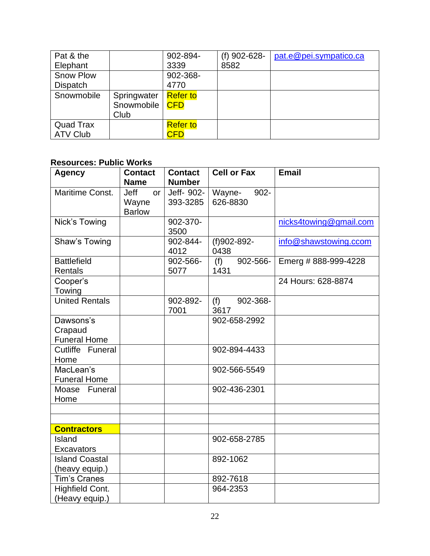| Pat & the        |             | 902-894-        | $(f)$ 902-628- | pat.e@pei.sympatico.ca |
|------------------|-------------|-----------------|----------------|------------------------|
| Elephant         |             | 3339            | 8582           |                        |
| <b>Snow Plow</b> |             | 902-368-        |                |                        |
| <b>Dispatch</b>  |             | 4770            |                |                        |
| Snowmobile       | Springwater | <b>Refer to</b> |                |                        |
|                  | Snowmobile  | <b>CFD</b>      |                |                        |
|                  | Club        |                 |                |                        |
| <b>Quad Trax</b> |             | <b>Refer to</b> |                |                        |
| <b>ATV Club</b>  |             | <b>CFD</b>      |                |                        |

## **Resources: Public Works**

| <b>Agency</b>         | <b>Contact</b> | <b>Contact</b> | <b>Cell or Fax</b> | <b>Email</b>           |
|-----------------------|----------------|----------------|--------------------|------------------------|
|                       | <b>Name</b>    | <b>Number</b>  |                    |                        |
| Maritime Const.       | Jeff<br>or     | Jeff- 902-     | Wayne-<br>$902 -$  |                        |
|                       | Wayne          | 393-3285       | 626-8830           |                        |
|                       | <b>Barlow</b>  |                |                    |                        |
| Nick's Towing         |                | 902-370-       |                    | nicks4towing@gmail.com |
|                       |                | 3500           |                    |                        |
| Shaw's Towing         |                | 902-844-       | (f)902-892-        | info@shawstowing.ccom  |
|                       |                | 4012           | 0438               |                        |
| <b>Battlefield</b>    |                | 902-566-       | 902-566-<br>(f)    | Emerg # 888-999-4228   |
| <b>Rentals</b>        |                | 5077           | 1431               |                        |
| Cooper's              |                |                |                    | 24 Hours: 628-8874     |
| Towing                |                |                |                    |                        |
| <b>United Rentals</b> |                | 902-892-       | (f)<br>902-368-    |                        |
|                       |                | 7001           | 3617               |                        |
| Dawsons's             |                |                | 902-658-2992       |                        |
| Crapaud               |                |                |                    |                        |
| <b>Funeral Home</b>   |                |                |                    |                        |
| Cutliffe Funeral      |                |                | 902-894-4433       |                        |
| Home                  |                |                |                    |                        |
| MacLean's             |                |                | 902-566-5549       |                        |
| <b>Funeral Home</b>   |                |                |                    |                        |
| Moase Funeral         |                |                | 902-436-2301       |                        |
| Home                  |                |                |                    |                        |
|                       |                |                |                    |                        |
|                       |                |                |                    |                        |
| <b>Contractors</b>    |                |                |                    |                        |
| Island                |                |                | 902-658-2785       |                        |
| <b>Excavators</b>     |                |                |                    |                        |
| <b>Island Coastal</b> |                |                | 892-1062           |                        |
| (heavy equip.)        |                |                |                    |                        |
| <b>Tim's Cranes</b>   |                |                | 892-7618           |                        |
| Highfield Cont.       |                |                | 964-2353           |                        |
| (Heavy equip.)        |                |                |                    |                        |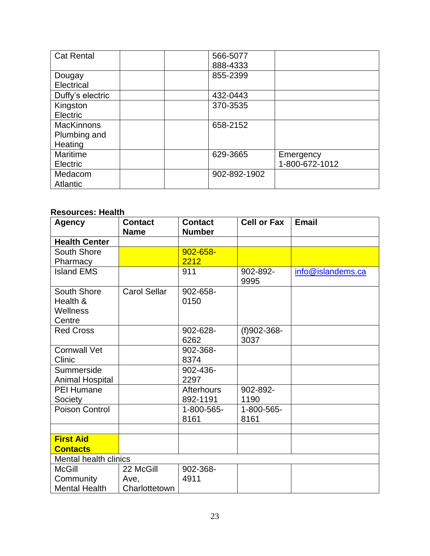| <b>Cat Rental</b> | 566-5077     |                |
|-------------------|--------------|----------------|
|                   | 888-4333     |                |
| Dougay            | 855-2399     |                |
| Electrical        |              |                |
| Duffy's electric  | 432-0443     |                |
| Kingston          | 370-3535     |                |
| Electric          |              |                |
| <b>MacKinnons</b> | 658-2152     |                |
| Plumbing and      |              |                |
| Heating           |              |                |
| Maritime          | 629-3665     | Emergency      |
| Electric          |              | 1-800-672-1012 |
| Medacom           | 902-892-1902 |                |
| Atlantic          |              |                |

## **Resources: Health**

| <b>Agency</b>                | <b>Contact</b><br><b>Name</b> | <b>Contact</b><br><b>Number</b> | <b>Cell or Fax</b> | <b>Email</b>      |
|------------------------------|-------------------------------|---------------------------------|--------------------|-------------------|
| <b>Health Center</b>         |                               |                                 |                    |                   |
| South Shore                  |                               | 902-658-                        |                    |                   |
| Pharmacy                     |                               | 2212                            |                    |                   |
| <b>Island EMS</b>            |                               | 911                             | 902-892-<br>9995   | info@islandems.ca |
| South Shore                  | <b>Carol Sellar</b>           | 902-658-                        |                    |                   |
| Health &                     |                               | 0150                            |                    |                   |
| Wellness                     |                               |                                 |                    |                   |
| Centre                       |                               |                                 |                    |                   |
| <b>Red Cross</b>             |                               | 902-628-                        | $(f)902 - 368 -$   |                   |
|                              |                               | 6262                            | 3037               |                   |
| <b>Cornwall Vet</b>          |                               | 902-368-                        |                    |                   |
| Clinic                       |                               | 8374                            |                    |                   |
| Summerside                   |                               | 902-436-                        |                    |                   |
| <b>Animal Hospital</b>       |                               | 2297                            |                    |                   |
| <b>PEI Humane</b>            |                               | <b>Afterhours</b>               | 902-892-           |                   |
| Society                      |                               | 892-1191                        | 1190               |                   |
| <b>Poison Control</b>        |                               | 1-800-565-                      | 1-800-565-         |                   |
|                              |                               | 8161                            | 8161               |                   |
|                              |                               |                                 |                    |                   |
| <b>First Aid</b>             |                               |                                 |                    |                   |
| <b>Contacts</b>              |                               |                                 |                    |                   |
| <b>Mental health clinics</b> |                               |                                 |                    |                   |
| <b>McGill</b>                | 22 McGill                     | 902-368-                        |                    |                   |
| Community                    | Ave,                          | 4911                            |                    |                   |
| <b>Mental Health</b>         | Charlottetown                 |                                 |                    |                   |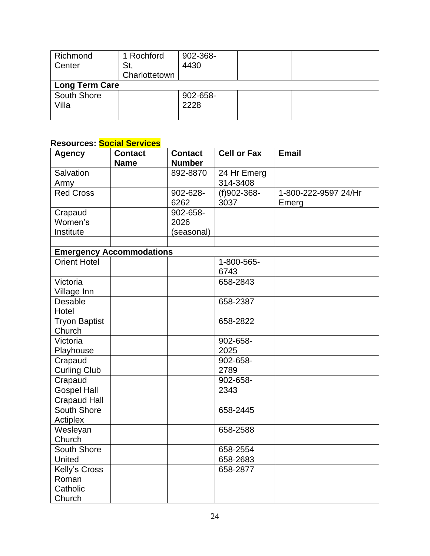| Richmond              | 1 Rochford    | 902-368- |  |
|-----------------------|---------------|----------|--|
| Center                | St,           | 4430     |  |
|                       | Charlottetown |          |  |
| <b>Long Term Care</b> |               |          |  |
| South Shore           |               | 902-658- |  |
| Villa                 |               | 2228     |  |
|                       |               |          |  |

## **Resources: Social Services**

| <b>Agency</b>        | <b>Contact</b>                  | <b>Contact</b> | <b>Cell or Fax</b> | <b>Email</b>         |
|----------------------|---------------------------------|----------------|--------------------|----------------------|
|                      | <b>Name</b>                     | <b>Number</b>  |                    |                      |
| Salvation            |                                 | 892-8870       | 24 Hr Emerg        |                      |
| Army                 |                                 |                | 314-3408           |                      |
| <b>Red Cross</b>     |                                 | 902-628-       | (f)902-368-        | 1-800-222-9597 24/Hr |
|                      |                                 | 6262           | 3037               | Emerg                |
| Crapaud              |                                 | 902-658-       |                    |                      |
| Women's              |                                 | 2026           |                    |                      |
| Institute            |                                 | (seasonal)     |                    |                      |
|                      |                                 |                |                    |                      |
|                      | <b>Emergency Accommodations</b> |                |                    |                      |
| <b>Orient Hotel</b>  |                                 |                | 1-800-565-         |                      |
|                      |                                 |                | 6743               |                      |
| Victoria             |                                 |                | 658-2843           |                      |
| Village Inn          |                                 |                |                    |                      |
| Desable              |                                 |                | 658-2387           |                      |
| Hotel                |                                 |                |                    |                      |
| <b>Tryon Baptist</b> |                                 |                | 658-2822           |                      |
| Church               |                                 |                |                    |                      |
| Victoria             |                                 |                | 902-658-           |                      |
| Playhouse            |                                 |                | 2025               |                      |
| Crapaud              |                                 |                | 902-658-           |                      |
| <b>Curling Club</b>  |                                 |                | 2789               |                      |
| Crapaud              |                                 |                | 902-658-           |                      |
| <b>Gospel Hall</b>   |                                 |                | 2343               |                      |
| <b>Crapaud Hall</b>  |                                 |                |                    |                      |
| South Shore          |                                 |                | 658-2445           |                      |
| Actiplex             |                                 |                |                    |                      |
| Wesleyan             |                                 |                | 658-2588           |                      |
| Church               |                                 |                |                    |                      |
| South Shore          |                                 |                | 658-2554           |                      |
| <b>United</b>        |                                 |                | 658-2683           |                      |
|                      |                                 |                |                    |                      |
| Kelly's Cross        |                                 |                | 658-2877           |                      |
| Roman                |                                 |                |                    |                      |
| Catholic             |                                 |                |                    |                      |
| Church               |                                 |                |                    |                      |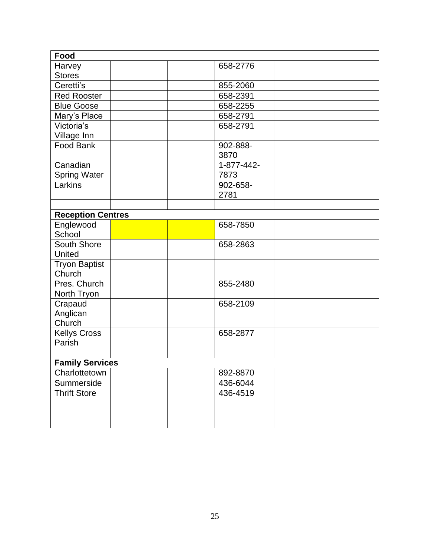| Food                     |            |  |
|--------------------------|------------|--|
| Harvey                   | 658-2776   |  |
| <b>Stores</b>            |            |  |
| Ceretti's                | 855-2060   |  |
| <b>Red Rooster</b>       | 658-2391   |  |
| <b>Blue Goose</b>        | 658-2255   |  |
| Mary's Place             | 658-2791   |  |
| Victoria's               | 658-2791   |  |
| Village Inn              |            |  |
| Food Bank                | 902-888-   |  |
|                          | 3870       |  |
| Canadian                 | 1-877-442- |  |
| <b>Spring Water</b>      | 7873       |  |
| Larkins                  | 902-658-   |  |
|                          | 2781       |  |
|                          |            |  |
| <b>Reception Centres</b> |            |  |
| Englewood                | 658-7850   |  |
| School                   |            |  |
| South Shore              | 658-2863   |  |
| United                   |            |  |
| <b>Tryon Baptist</b>     |            |  |
| Church                   |            |  |
| Pres. Church             | 855-2480   |  |
| North Tryon              |            |  |
| Crapaud                  | 658-2109   |  |
| Anglican                 |            |  |
| Church                   |            |  |
| <b>Kellys Cross</b>      | 658-2877   |  |
| Parish                   |            |  |
|                          |            |  |
| <b>Family Services</b>   |            |  |
| Charlottetown            | 892-8870   |  |
| Summerside               | 436-6044   |  |
| <b>Thrift Store</b>      | 436-4519   |  |
|                          |            |  |
|                          |            |  |
|                          |            |  |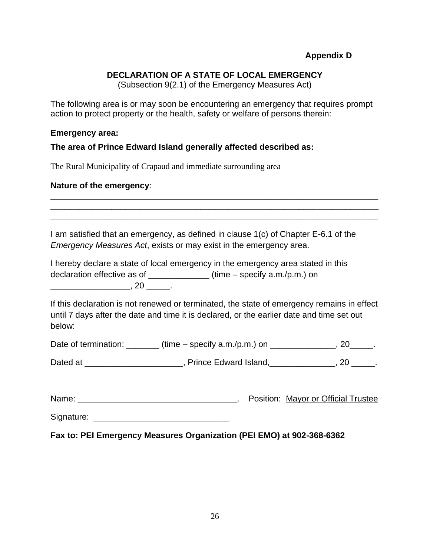### **DECLARATION OF A STATE OF LOCAL EMERGENCY**

(Subsection 9(2.1) of the Emergency Measures Act)

<span id="page-25-0"></span>The following area is or may soon be encountering an emergency that requires prompt action to protect property or the health, safety or welfare of persons therein:

#### **Emergency area:**

**The area of Prince Edward Island generally affected described as:**

The Rural Municipality of Crapaud and immediate surrounding area

#### **Nature of the emergency**:

I am satisfied that an emergency, as defined in clause 1(c) of Chapter E-6.1 of the *Emergency Measures Act*, exists or may exist in the emergency area.

\_\_\_\_\_\_\_\_\_\_\_\_\_\_\_\_\_\_\_\_\_\_\_\_\_\_\_\_\_\_\_\_\_\_\_\_\_\_\_\_\_\_\_\_\_\_\_\_\_\_\_\_\_\_\_\_\_\_\_\_\_\_\_\_\_\_\_\_\_\_ \_\_\_\_\_\_\_\_\_\_\_\_\_\_\_\_\_\_\_\_\_\_\_\_\_\_\_\_\_\_\_\_\_\_\_\_\_\_\_\_\_\_\_\_\_\_\_\_\_\_\_\_\_\_\_\_\_\_\_\_\_\_\_\_\_\_\_\_\_\_ \_\_\_\_\_\_\_\_\_\_\_\_\_\_\_\_\_\_\_\_\_\_\_\_\_\_\_\_\_\_\_\_\_\_\_\_\_\_\_\_\_\_\_\_\_\_\_\_\_\_\_\_\_\_\_\_\_\_\_\_\_\_\_\_\_\_\_\_\_\_

I hereby declare a state of local emergency in the emergency area stated in this declaration effective as of \_\_\_\_\_\_\_\_\_\_\_\_\_ (time – specify a.m./p.m.) on  $, 20$   $, 20$ 

If this declaration is not renewed or terminated, the state of emergency remains in effect until 7 days after the date and time it is declared, or the earlier date and time set out below:

| Date of termination: | $(time - specify a.m./p.m.)$ on |  |
|----------------------|---------------------------------|--|
|----------------------|---------------------------------|--|

Dated at \_\_\_\_\_\_\_\_\_\_\_\_\_\_\_\_\_\_\_, Prince Edward Island, \_\_\_\_\_\_\_\_\_\_\_, 20 \_\_\_\_.

| Name: |  | Position: Mayor or Official Trustee |  |
|-------|--|-------------------------------------|--|
|       |  |                                     |  |

Signature: \_\_\_\_\_\_\_\_\_\_\_\_\_\_\_\_\_\_\_\_\_\_\_\_\_\_\_\_\_

**Fax to: PEI Emergency Measures Organization (PEI EMO) at 902-368-6362**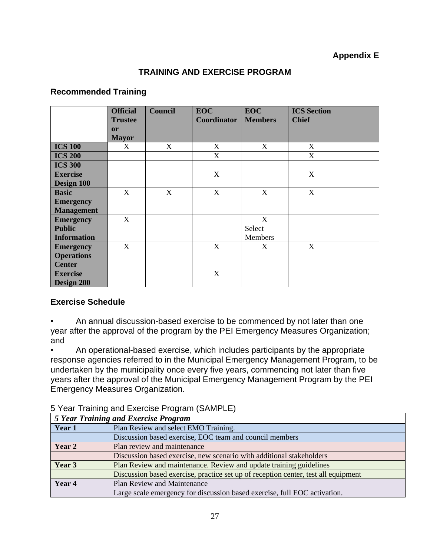## **Appendix E**

## **TRAINING AND EXERCISE PROGRAM**

### <span id="page-26-0"></span>**Recommended Training**

|                    | <b>Official</b><br><b>Trustee</b> | <b>Council</b> | <b>EOC</b><br>Coordinator | <b>EOC</b><br><b>Members</b> | <b>ICS Section</b><br><b>Chief</b> |  |
|--------------------|-----------------------------------|----------------|---------------------------|------------------------------|------------------------------------|--|
|                    | <b>or</b>                         |                |                           |                              |                                    |  |
|                    | <b>Mayor</b>                      |                |                           |                              |                                    |  |
| <b>ICS 100</b>     | X                                 | X              | X                         | X                            | X                                  |  |
| <b>ICS 200</b>     |                                   |                | X                         |                              | X                                  |  |
| <b>ICS 300</b>     |                                   |                |                           |                              |                                    |  |
| <b>Exercise</b>    |                                   |                | X                         |                              | X                                  |  |
| Design 100         |                                   |                |                           |                              |                                    |  |
| <b>Basic</b>       | X                                 | X              | X                         | X                            | X                                  |  |
| <b>Emergency</b>   |                                   |                |                           |                              |                                    |  |
| <b>Management</b>  |                                   |                |                           |                              |                                    |  |
| <b>Emergency</b>   | X                                 |                |                           | X                            |                                    |  |
| <b>Public</b>      |                                   |                |                           | Select                       |                                    |  |
| <b>Information</b> |                                   |                |                           | Members                      |                                    |  |
| <b>Emergency</b>   | X                                 |                | X                         | X                            | X                                  |  |
| <b>Operations</b>  |                                   |                |                           |                              |                                    |  |
| <b>Center</b>      |                                   |                |                           |                              |                                    |  |
| <b>Exercise</b>    |                                   |                | X                         |                              |                                    |  |
| Design 200         |                                   |                |                           |                              |                                    |  |

### **Exercise Schedule**

• An annual discussion-based exercise to be commenced by not later than one year after the approval of the program by the PEI Emergency Measures Organization; and

• An operational-based exercise, which includes participants by the appropriate response agencies referred to in the Municipal Emergency Management Program, to be undertaken by the municipality once every five years, commencing not later than five years after the approval of the Municipal Emergency Management Program by the PEI Emergency Measures Organization.

|        | 5 Year Training and Exercise Program                                               |
|--------|------------------------------------------------------------------------------------|
| Year 1 | Plan Review and select EMO Training.                                               |
|        | Discussion based exercise, EOC team and council members                            |
| Year 2 | Plan review and maintenance                                                        |
|        | Discussion based exercise, new scenario with additional stakeholders               |
| Year 3 | Plan Review and maintenance. Review and update training guidelines                 |
|        | Discussion based exercise, practice set up of reception center, test all equipment |
| Year 4 | <b>Plan Review and Maintenance</b>                                                 |
|        | Large scale emergency for discussion based exercise, full EOC activation.          |

5 Year Training and Exercise Program (SAMPLE)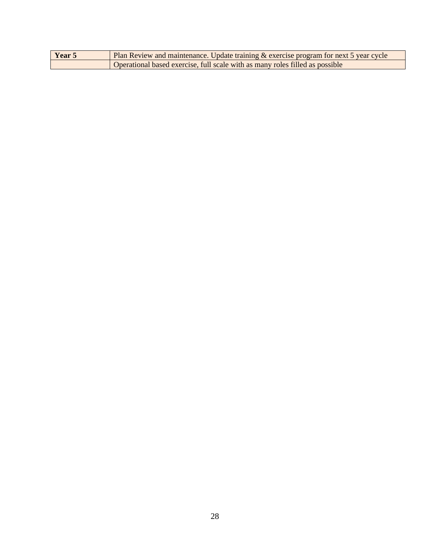| Year 5 | <b>Plan Review and maintenance. Update training &amp; exercise program for next 5 year cycle</b> |
|--------|--------------------------------------------------------------------------------------------------|
|        | Operational based exercise, full scale with as many roles filled as possible                     |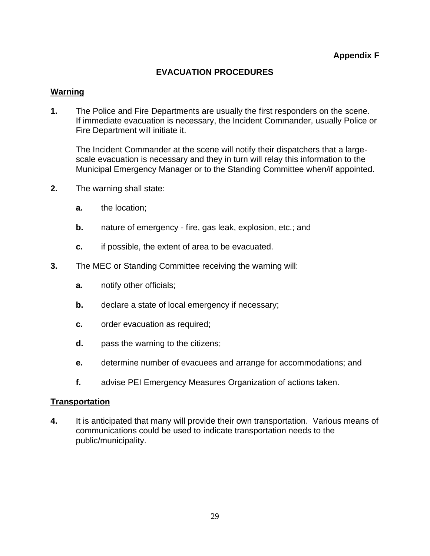## **EVACUATION PROCEDURES**

### <span id="page-28-0"></span>**Warning**

**1.** The Police and Fire Departments are usually the first responders on the scene. If immediate evacuation is necessary, the Incident Commander, usually Police or Fire Department will initiate it.

The Incident Commander at the scene will notify their dispatchers that a largescale evacuation is necessary and they in turn will relay this information to the Municipal Emergency Manager or to the Standing Committee when/if appointed.

- **2.** The warning shall state:
	- **a.** the location;
	- **b.** nature of emergency fire, gas leak, explosion, etc.; and
	- **c.** if possible, the extent of area to be evacuated.
- **3.** The MEC or Standing Committee receiving the warning will:
	- **a.** notify other officials;
	- **b.** declare a state of local emergency if necessary;
	- **c.** order evacuation as required;
	- **d.** pass the warning to the citizens;
	- **e.** determine number of evacuees and arrange for accommodations; and
	- **f.** advise PEI Emergency Measures Organization of actions taken.

### **Transportation**

**4.** It is anticipated that many will provide their own transportation. Various means of communications could be used to indicate transportation needs to the public/municipality.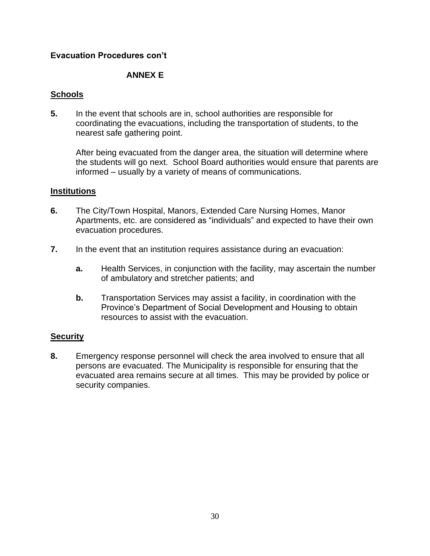### **Evacuation Procedures con't**

### **ANNEX E**

### **Schools**

**5.** In the event that schools are in, school authorities are responsible for coordinating the evacuations, including the transportation of students, to the nearest safe gathering point.

After being evacuated from the danger area, the situation will determine where the students will go next. School Board authorities would ensure that parents are informed – usually by a variety of means of communications.

### **Institutions**

- **6.** The City/Town Hospital, Manors, Extended Care Nursing Homes, Manor Apartments, etc. are considered as "individuals" and expected to have their own evacuation procedures.
- **7.** In the event that an institution requires assistance during an evacuation:
	- **a.** Health Services, in conjunction with the facility, may ascertain the number of ambulatory and stretcher patients; and
	- **b.** Transportation Services may assist a facility, in coordination with the Province's Department of Social Development and Housing to obtain resources to assist with the evacuation.

### **Security**

**8.** Emergency response personnel will check the area involved to ensure that all persons are evacuated. The Municipality is responsible for ensuring that the evacuated area remains secure at all times. This may be provided by police or security companies.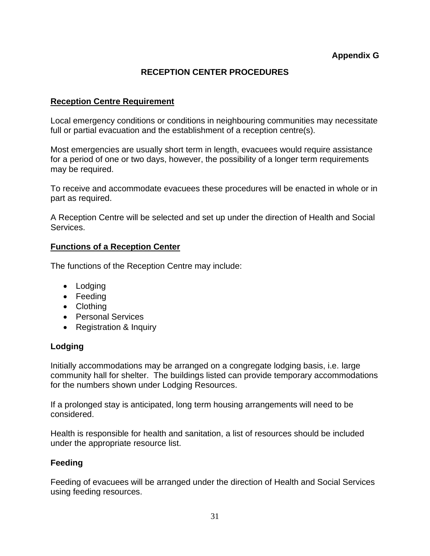## **RECEPTION CENTER PROCEDURES**

### <span id="page-30-0"></span>**Reception Centre Requirement**

Local emergency conditions or conditions in neighbouring communities may necessitate full or partial evacuation and the establishment of a reception centre(s).

Most emergencies are usually short term in length, evacuees would require assistance for a period of one or two days, however, the possibility of a longer term requirements may be required.

To receive and accommodate evacuees these procedures will be enacted in whole or in part as required.

A Reception Centre will be selected and set up under the direction of Health and Social Services.

### **Functions of a Reception Center**

The functions of the Reception Centre may include:

- Lodging
- Feeding
- Clothing
- Personal Services
- Registration & Inquiry

### **Lodging**

Initially accommodations may be arranged on a congregate lodging basis, i.e. large community hall for shelter. The buildings listed can provide temporary accommodations for the numbers shown under Lodging Resources.

If a prolonged stay is anticipated, long term housing arrangements will need to be considered.

Health is responsible for health and sanitation, a list of resources should be included under the appropriate resource list.

### **Feeding**

Feeding of evacuees will be arranged under the direction of Health and Social Services using feeding resources.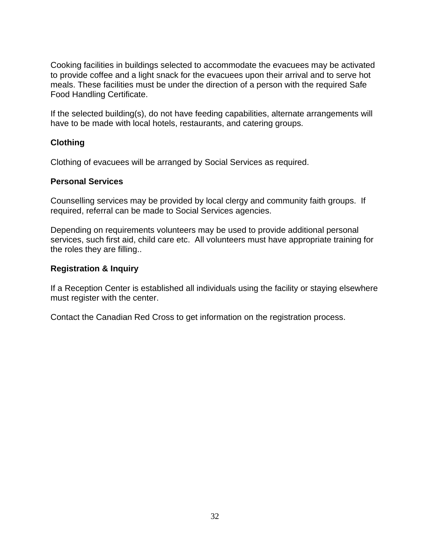Cooking facilities in buildings selected to accommodate the evacuees may be activated to provide coffee and a light snack for the evacuees upon their arrival and to serve hot meals. These facilities must be under the direction of a person with the required Safe Food Handling Certificate.

If the selected building(s), do not have feeding capabilities, alternate arrangements will have to be made with local hotels, restaurants, and catering groups.

## **Clothing**

Clothing of evacuees will be arranged by Social Services as required.

### **Personal Services**

Counselling services may be provided by local clergy and community faith groups. If required, referral can be made to Social Services agencies.

Depending on requirements volunteers may be used to provide additional personal services, such first aid, child care etc. All volunteers must have appropriate training for the roles they are filling..

### **Registration & Inquiry**

If a Reception Center is established all individuals using the facility or staying elsewhere must register with the center.

Contact the Canadian Red Cross to get information on the registration process.